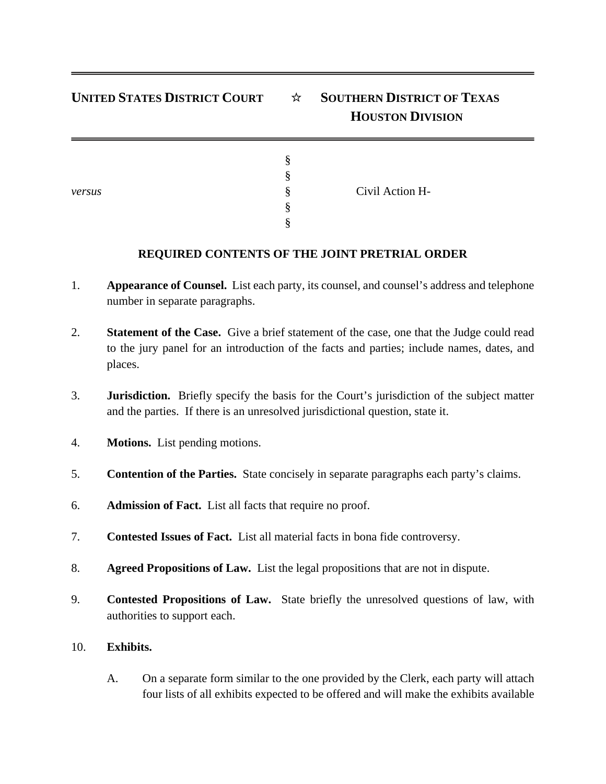## **UNITED STATES DISTRICT COURT** ☆ **SOUTHERN DISTRICT OF TEXAS HOUSTON DIVISION**

| versus | ∘<br>ø<br>Ò<br>O<br>♦<br>∘<br>8. | Civil Action H- |  |
|--------|----------------------------------|-----------------|--|
|--------|----------------------------------|-----------------|--|

## **REQUIRED CONTENTS OF THE JOINT PRETRIAL ORDER**

- 1. **Appearance of Counsel.** List each party, its counsel, and counsel's address and telephone number in separate paragraphs.
- 2. **Statement of the Case.** Give a brief statement of the case, one that the Judge could read to the jury panel for an introduction of the facts and parties; include names, dates, and places.
- 3. **Jurisdiction.** Briefly specify the basis for the Court's jurisdiction of the subject matter and the parties. If there is an unresolved jurisdictional question, state it.
- 4. **Motions.** List pending motions.
- 5. **Contention of the Parties.** State concisely in separate paragraphs each party's claims.
- 6. **Admission of Fact.** List all facts that require no proof.
- 7. **Contested Issues of Fact.** List all material facts in bona fide controversy.
- 8. **Agreed Propositions of Law.** List the legal propositions that are not in dispute.
- 9. **Contested Propositions of Law.** State briefly the unresolved questions of law, with authorities to support each.

## 10. **Exhibits.**

A. On a separate form similar to the one provided by the Clerk, each party will attach four lists of all exhibits expected to be offered and will make the exhibits available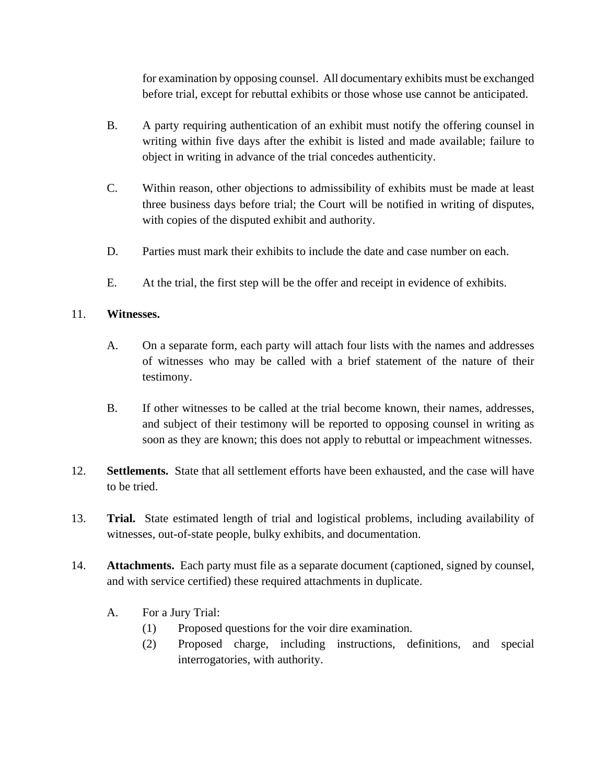for examination by opposing counsel. All documentary exhibits must be exchanged before trial, except for rebuttal exhibits or those whose use cannot be anticipated.

- B. A party requiring authentication of an exhibit must notify the offering counsel in writing within five days after the exhibit is listed and made available; failure to object in writing in advance of the trial concedes authenticity.
- C. Within reason, other objections to admissibility of exhibits must be made at least three business days before trial; the Court will be notified in writing of disputes, with copies of the disputed exhibit and authority.
- D. Parties must mark their exhibits to include the date and case number on each.
- E. At the trial, the first step will be the offer and receipt in evidence of exhibits.

## 11. **Witnesses.**

- A. On a separate form, each party will attach four lists with the names and addresses of witnesses who may be called with a brief statement of the nature of their testimony.
- B. If other witnesses to be called at the trial become known, their names, addresses, and subject of their testimony will be reported to opposing counsel in writing as soon as they are known; this does not apply to rebuttal or impeachment witnesses.
- 12. **Settlements.** State that all settlement efforts have been exhausted, and the case will have to be tried.
- 13. **Trial.** State estimated length of trial and logistical problems, including availability of witnesses, out-of-state people, bulky exhibits, and documentation.
- 14. **Attachments.** Each party must file as a separate document (captioned, signed by counsel, and with service certified) these required attachments in duplicate.
	- A. For a Jury Trial:
		- (1) Proposed questions for the voir dire examination.
		- (2) Proposed charge, including instructions, definitions, and special interrogatories, with authority.